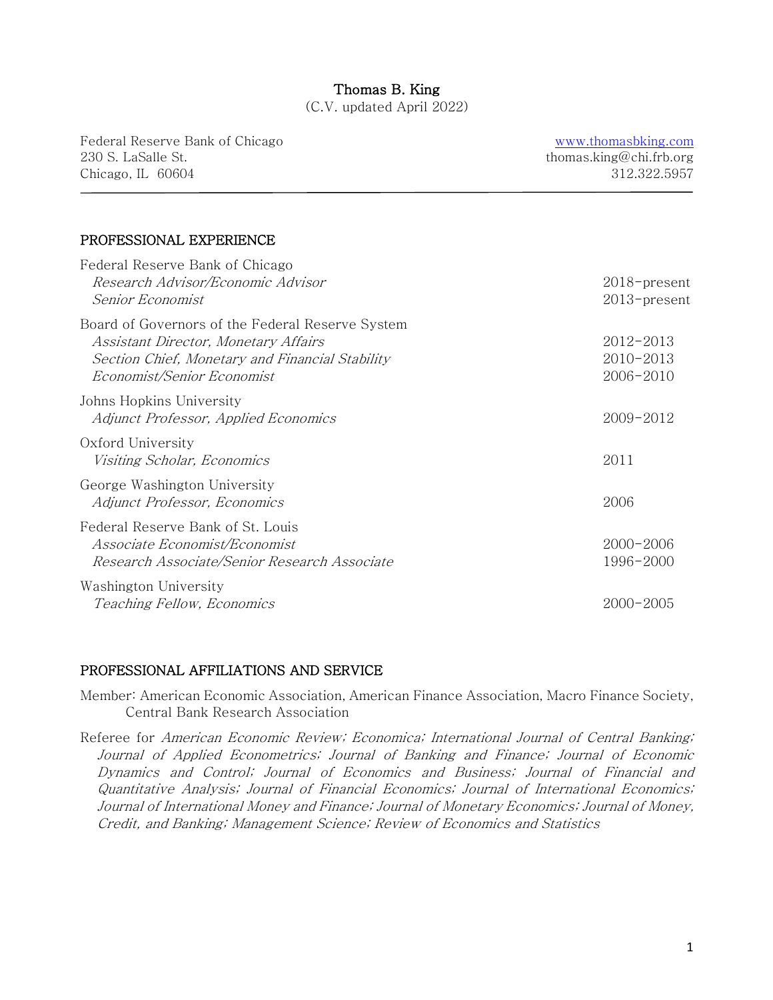# Thomas B. King

(C.V. updated April 2022)

Federal Reserve Bank of Chicago 230 S. LaSalle St. Chicago, IL 60604

 $\overline{a}$ 

www.thomasbking.com thomas.king@chi.frb.org 312.322.5957

## PROFESSIONAL EXPERIENCE

| Federal Reserve Bank of Chicago<br>Research Advisor/Economic Advisor<br>Senior Economist                                                                                  | $2018$ -present<br>$2013$ -present  |
|---------------------------------------------------------------------------------------------------------------------------------------------------------------------------|-------------------------------------|
| Board of Governors of the Federal Reserve System<br>Assistant Director, Monetary Affairs<br>Section Chief, Monetary and Financial Stability<br>Economist/Senior Economist | 2012-2013<br>2010-2013<br>2006-2010 |
| Johns Hopkins University<br>Adjunct Professor, Applied Economics                                                                                                          | 2009-2012                           |
| Oxford University<br><i>Visiting Scholar, Economics</i>                                                                                                                   | 2011                                |
| George Washington University<br>Adjunct Professor, Economics                                                                                                              | 2006                                |
| Federal Reserve Bank of St. Louis<br>Associate Economist/Economist<br>Research Associate/Senior Research Associate                                                        | $2000 - 2006$<br>1996-2000          |
| Washington University<br>Teaching Fellow, Economics                                                                                                                       | $2000 - 2005$                       |

## PROFESSIONAL AFFILIATIONS AND SERVICE

Member: American Economic Association, American Finance Association, Macro Finance Society, Central Bank Research Association

Referee for American Economic Review; Economica; International Journal of Central Banking; Journal of Applied Econometrics; Journal of Banking and Finance; Journal of Economic Dynamics and Control; Journal of Economics and Business; Journal of Financial and Quantitative Analysis; Journal of Financial Economics; Journal of International Economics; Journal of International Money and Finance; Journal of Monetary Economics; Journal of Money, Credit, and Banking; Management Science; Review of Economics and Statistics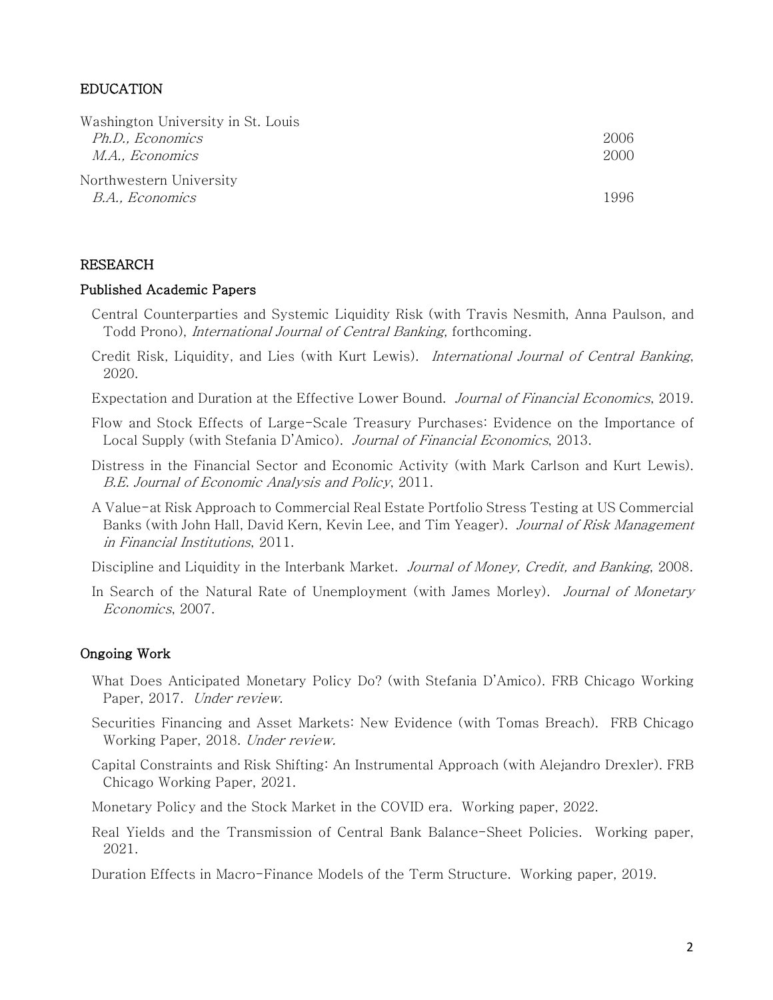### EDUCATION

| Washington University in St. Louis |      |
|------------------------------------|------|
| Ph.D., Economics                   | 2006 |
| <i>M.A., Economics</i>             | 2000 |
| Northwestern University            |      |
| <i>B.A., Economics</i>             | 1996 |

#### RESEARCH

#### Published Academic Papers

- Central Counterparties and Systemic Liquidity Risk (with Travis Nesmith, Anna Paulson, and Todd Prono), International Journal of Central Banking, forthcoming.
- Credit Risk, Liquidity, and Lies (with Kurt Lewis). International Journal of Central Banking, 2020.
- Expectation and Duration at the Effective Lower Bound. Journal of Financial Economics, 2019.
- Flow and Stock Effects of Large-Scale Treasury Purchases: Evidence on the Importance of Local Supply (with Stefania D'Amico). Journal of Financial Economics, 2013.
- Distress in the Financial Sector and Economic Activity (with Mark Carlson and Kurt Lewis). B.E. Journal of Economic Analysis and Policy, 2011.
- A Value-at Risk Approach to Commercial Real Estate Portfolio Stress Testing at US Commercial Banks (with John Hall, David Kern, Kevin Lee, and Tim Yeager). Journal of Risk Management in Financial Institutions, 2011.
- Discipline and Liquidity in the Interbank Market. Journal of Money, Credit, and Banking, 2008.
- In Search of the Natural Rate of Unemployment (with James Morley). Journal of Monetary Economics, 2007.

#### Ongoing Work

- What Does Anticipated Monetary Policy Do? (with Stefania D'Amico). FRB Chicago Working Paper, 2017. Under review.
- Securities Financing and Asset Markets: New Evidence (with Tomas Breach). FRB Chicago Working Paper, 2018. Under review.
- Capital Constraints and Risk Shifting: An Instrumental Approach (with Alejandro Drexler). FRB Chicago Working Paper, 2021.
- Monetary Policy and the Stock Market in the COVID era. Working paper, 2022.
- Real Yields and the Transmission of Central Bank Balance-Sheet Policies. Working paper, 2021.
- Duration Effects in Macro-Finance Models of the Term Structure. Working paper, 2019.